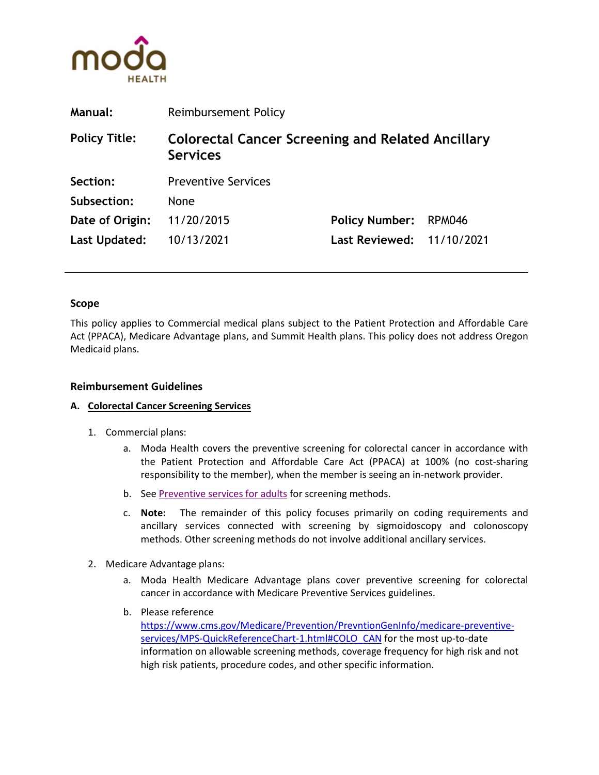

| <b>Manual:</b>       | Reimbursement Policy                                                        |                       |               |
|----------------------|-----------------------------------------------------------------------------|-----------------------|---------------|
| <b>Policy Title:</b> | <b>Colorectal Cancer Screening and Related Ancillary</b><br><b>Services</b> |                       |               |
| Section:             | <b>Preventive Services</b>                                                  |                       |               |
| Subsection:          | None                                                                        |                       |               |
| Date of Origin:      | 11/20/2015                                                                  | <b>Policy Number:</b> | <b>RPM046</b> |
| Last Updated:        | 10/13/2021                                                                  | <b>Last Reviewed:</b> | 11/10/2021    |

#### **Scope**

This policy applies to Commercial medical plans subject to the Patient Protection and Affordable Care Act (PPACA), Medicare Advantage plans, and Summit Health plans. This policy does not address Oregon Medicaid plans.

### **Reimbursement Guidelines**

#### **A. Colorectal Cancer Screening Services**

- 1. Commercial plans:
	- a. Moda Health covers the preventive screening for colorectal cancer in accordance with the Patient Protection and Affordable Care Act (PPACA) at 100% (no cost-sharing responsibility to the member), when the member is seeing an in-network provider.
	- b. Se[e Preventive services for adults](https://www.modahealth.com/pdfs/prev_srvcs_adults.pdf) for screening methods.
	- c. **Note:** The remainder of this policy focuses primarily on coding requirements and ancillary services connected with screening by sigmoidoscopy and colonoscopy methods. Other screening methods do not involve additional ancillary services.
- 2. Medicare Advantage plans:
	- a. Moda Health Medicare Advantage plans cover preventive screening for colorectal cancer in accordance with Medicare Preventive Services guidelines.
	- b. Please reference [https://www.cms.gov/Medicare/Prevention/PrevntionGenInfo/medicare-preventive](https://www.cms.gov/Medicare/Prevention/PrevntionGenInfo/medicare-preventive-services/MPS-QuickReferenceChart-1.html#COLO_CAN)[services/MPS-QuickReferenceChart-1.html#COLO\\_CAN](https://www.cms.gov/Medicare/Prevention/PrevntionGenInfo/medicare-preventive-services/MPS-QuickReferenceChart-1.html#COLO_CAN) for the most up-to-date information on allowable screening methods, coverage frequency for high risk and not high risk patients, procedure codes, and other specific information.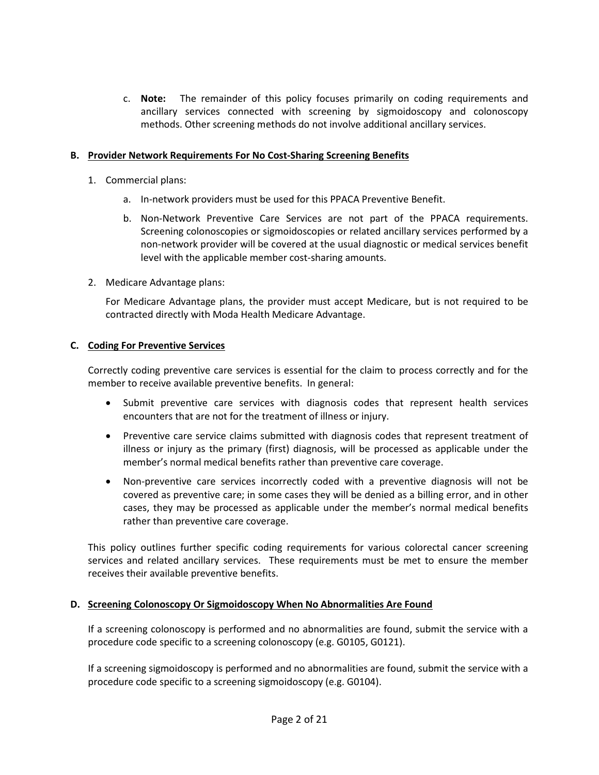c. **Note:** The remainder of this policy focuses primarily on coding requirements and ancillary services connected with screening by sigmoidoscopy and colonoscopy methods. Other screening methods do not involve additional ancillary services.

### **B. Provider Network Requirements For No Cost-Sharing Screening Benefits**

- 1. Commercial plans:
	- a. In-network providers must be used for this PPACA Preventive Benefit.
	- b. Non-Network Preventive Care Services are not part of the PPACA requirements. Screening colonoscopies or sigmoidoscopies or related ancillary services performed by a non-network provider will be covered at the usual diagnostic or medical services benefit level with the applicable member cost-sharing amounts.
- 2. Medicare Advantage plans:

For Medicare Advantage plans, the provider must accept Medicare, but is not required to be contracted directly with Moda Health Medicare Advantage.

## **C. Coding For Preventive Services**

Correctly coding preventive care services is essential for the claim to process correctly and for the member to receive available preventive benefits. In general:

- Submit preventive care services with diagnosis codes that represent health services encounters that are not for the treatment of illness or injury.
- Preventive care service claims submitted with diagnosis codes that represent treatment of illness or injury as the primary (first) diagnosis, will be processed as applicable under the member's normal medical benefits rather than preventive care coverage.
- Non-preventive care services incorrectly coded with a preventive diagnosis will not be covered as preventive care; in some cases they will be denied as a billing error, and in other cases, they may be processed as applicable under the member's normal medical benefits rather than preventive care coverage.

This policy outlines further specific coding requirements for various colorectal cancer screening services and related ancillary services. These requirements must be met to ensure the member receives their available preventive benefits.

#### **D. Screening Colonoscopy Or Sigmoidoscopy When No Abnormalities Are Found**

If a screening colonoscopy is performed and no abnormalities are found, submit the service with a procedure code specific to a screening colonoscopy (e.g. G0105, G0121).

If a screening sigmoidoscopy is performed and no abnormalities are found, submit the service with a procedure code specific to a screening sigmoidoscopy (e.g. G0104).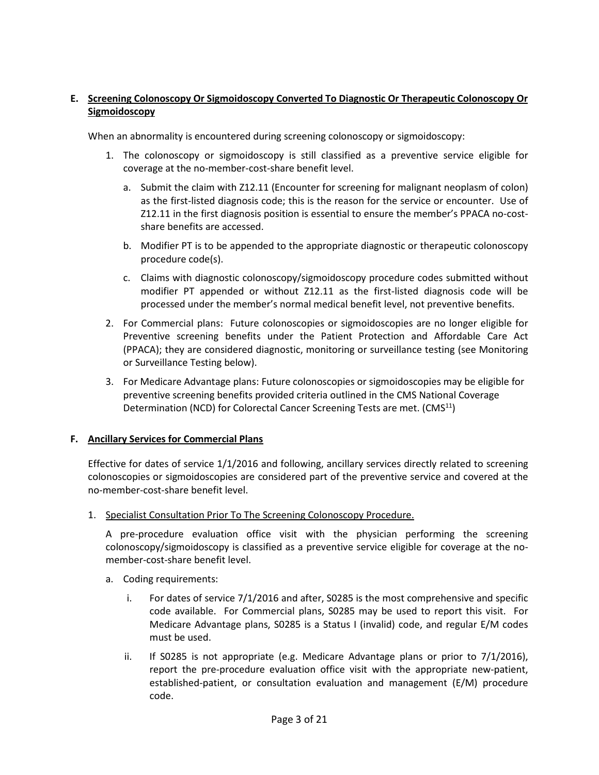# **E. Screening Colonoscopy Or Sigmoidoscopy Converted To Diagnostic Or Therapeutic Colonoscopy Or Sigmoidoscopy**

When an abnormality is encountered during screening colonoscopy or sigmoidoscopy:

- 1. The colonoscopy or sigmoidoscopy is still classified as a preventive service eligible for coverage at the no-member-cost-share benefit level.
	- a. Submit the claim with Z12.11 (Encounter for screening for malignant neoplasm of colon) as the first-listed diagnosis code; this is the reason for the service or encounter. Use of Z12.11 in the first diagnosis position is essential to ensure the member's PPACA no-costshare benefits are accessed.
	- b. Modifier PT is to be appended to the appropriate diagnostic or therapeutic colonoscopy procedure code(s).
	- c. Claims with diagnostic colonoscopy/sigmoidoscopy procedure codes submitted without modifier PT appended or without Z12.11 as the first-listed diagnosis code will be processed under the member's normal medical benefit level, not preventive benefits.
- 2. For Commercial plans: Future colonoscopies or sigmoidoscopies are no longer eligible for Preventive screening benefits under the Patient Protection and Affordable Care Act (PPACA); they are considered diagnostic, monitoring or surveillance testing (see Monitoring or Surveillance Testing below).
- 3. For Medicare Advantage plans: Future colonoscopies or sigmoidoscopies may be eligible for preventive screening benefits provided criteria outlined in the CMS National Coverage Determination (NCD) for Colorectal Cancer Screening Tests are met. (CMS<sup>11</sup>)

# **F. Ancillary Services for Commercial Plans**

Effective for dates of service 1/1/2016 and following, ancillary services directly related to screening colonoscopies or sigmoidoscopies are considered part of the preventive service and covered at the no-member-cost-share benefit level.

1. Specialist Consultation Prior To The Screening Colonoscopy Procedure.

A pre-procedure evaluation office visit with the physician performing the screening colonoscopy/sigmoidoscopy is classified as a preventive service eligible for coverage at the nomember-cost-share benefit level.

- a. Coding requirements:
	- i. For dates of service 7/1/2016 and after, S0285 is the most comprehensive and specific code available. For Commercial plans, S0285 may be used to report this visit. For Medicare Advantage plans, S0285 is a Status I (invalid) code, and regular E/M codes must be used.
	- ii. If S0285 is not appropriate (e.g. Medicare Advantage plans or prior to  $7/1/2016$ ), report the pre-procedure evaluation office visit with the appropriate new-patient, established-patient, or consultation evaluation and management (E/M) procedure code.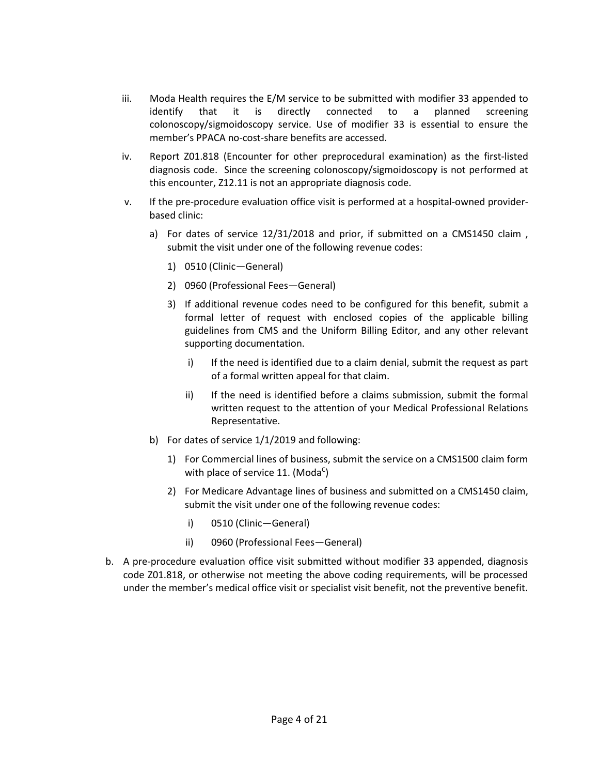- iii. Moda Health requires the E/M service to be submitted with modifier 33 appended to identify that it is directly connected to a planned screening colonoscopy/sigmoidoscopy service. Use of modifier 33 is essential to ensure the member's PPACA no-cost-share benefits are accessed.
- iv. Report Z01.818 (Encounter for other preprocedural examination) as the first-listed diagnosis code. Since the screening colonoscopy/sigmoidoscopy is not performed at this encounter, Z12.11 is not an appropriate diagnosis code.
- v. If the pre-procedure evaluation office visit is performed at a hospital-owned providerbased clinic:
	- a) For dates of service 12/31/2018 and prior, if submitted on a CMS1450 claim , submit the visit under one of the following revenue codes:
		- 1) 0510 (Clinic—General)
		- 2) 0960 (Professional Fees—General)
		- 3) If additional revenue codes need to be configured for this benefit, submit a formal letter of request with enclosed copies of the applicable billing guidelines from CMS and the Uniform Billing Editor, and any other relevant supporting documentation.
			- i) If the need is identified due to a claim denial, submit the request as part of a formal written appeal for that claim.
			- ii) If the need is identified before a claims submission, submit the formal written request to the attention of your Medical Professional Relations Representative.
	- b) For dates of service 1/1/2019 and following:
		- 1) For Commercial lines of business, submit the service on a CMS1500 claim form with place of service 11. (Moda<sup>c</sup>)
		- 2) For Medicare Advantage lines of business and submitted on a CMS1450 claim, submit the visit under one of the following revenue codes:
			- i) 0510 (Clinic—General)
			- ii) 0960 (Professional Fees—General)
- b. A pre-procedure evaluation office visit submitted without modifier 33 appended, diagnosis code Z01.818, or otherwise not meeting the above coding requirements, will be processed under the member's medical office visit or specialist visit benefit, not the preventive benefit.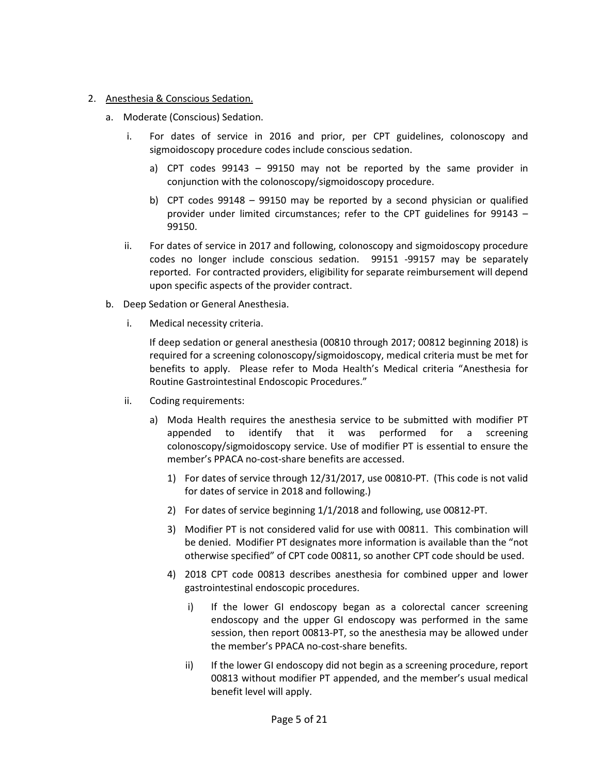### 2. Anesthesia & Conscious Sedation.

- a. Moderate (Conscious) Sedation.
	- i. For dates of service in 2016 and prior, per CPT guidelines, colonoscopy and sigmoidoscopy procedure codes include conscious sedation.
		- a) CPT codes 99143 99150 may not be reported by the same provider in conjunction with the colonoscopy/sigmoidoscopy procedure.
		- b) CPT codes 99148 99150 may be reported by a second physician or qualified provider under limited circumstances; refer to the CPT guidelines for 99143 – 99150.
	- ii. For dates of service in 2017 and following, colonoscopy and sigmoidoscopy procedure codes no longer include conscious sedation. 99151 -99157 may be separately reported. For contracted providers, eligibility for separate reimbursement will depend upon specific aspects of the provider contract.
- b. Deep Sedation or General Anesthesia.
	- i. Medical necessity criteria.

If deep sedation or general anesthesia (00810 through 2017; 00812 beginning 2018) is required for a screening colonoscopy/sigmoidoscopy, medical criteria must be met for benefits to apply. Please refer to Moda Health's Medical criteria "Anesthesia for Routine Gastrointestinal Endoscopic Procedures."

- ii. Coding requirements:
	- a) Moda Health requires the anesthesia service to be submitted with modifier PT appended to identify that it was performed for a screening colonoscopy/sigmoidoscopy service. Use of modifier PT is essential to ensure the member's PPACA no-cost-share benefits are accessed.
		- 1) For dates of service through 12/31/2017, use 00810-PT. (This code is not valid for dates of service in 2018 and following.)
		- 2) For dates of service beginning 1/1/2018 and following, use 00812-PT.
		- 3) Modifier PT is not considered valid for use with 00811. This combination will be denied. Modifier PT designates more information is available than the "not otherwise specified" of CPT code 00811, so another CPT code should be used.
		- 4) 2018 CPT code 00813 describes anesthesia for combined upper and lower gastrointestinal endoscopic procedures.
			- i) If the lower GI endoscopy began as a colorectal cancer screening endoscopy and the upper GI endoscopy was performed in the same session, then report 00813-PT, so the anesthesia may be allowed under the member's PPACA no-cost-share benefits.
			- ii) If the lower GI endoscopy did not begin as a screening procedure, report 00813 without modifier PT appended, and the member's usual medical benefit level will apply.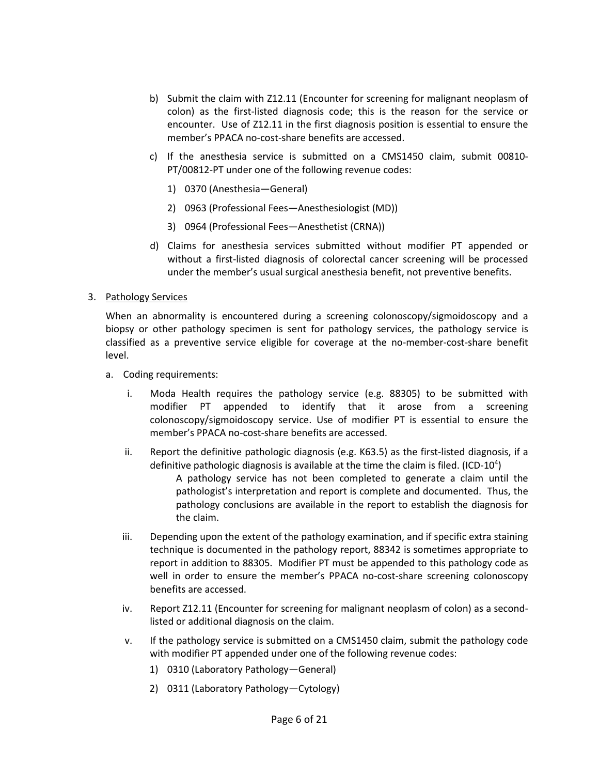- b) Submit the claim with Z12.11 (Encounter for screening for malignant neoplasm of colon) as the first-listed diagnosis code; this is the reason for the service or encounter. Use of Z12.11 in the first diagnosis position is essential to ensure the member's PPACA no-cost-share benefits are accessed.
- c) If the anesthesia service is submitted on a CMS1450 claim, submit 00810- PT/00812-PT under one of the following revenue codes:
	- 1) 0370 (Anesthesia—General)
	- 2) 0963 (Professional Fees—Anesthesiologist (MD))
	- 3) 0964 (Professional Fees—Anesthetist (CRNA))
- d) Claims for anesthesia services submitted without modifier PT appended or without a first-listed diagnosis of colorectal cancer screening will be processed under the member's usual surgical anesthesia benefit, not preventive benefits.
- 3. Pathology Services

When an abnormality is encountered during a screening colonoscopy/sigmoidoscopy and a biopsy or other pathology specimen is sent for pathology services, the pathology service is classified as a preventive service eligible for coverage at the no-member-cost-share benefit level.

- a. Coding requirements:
	- i. Moda Health requires the pathology service (e.g. 88305) to be submitted with modifier PT appended to identify that it arose from a screening colonoscopy/sigmoidoscopy service. Use of modifier PT is essential to ensure the member's PPACA no-cost-share benefits are accessed.
	- ii. Report the definitive pathologic diagnosis (e.g. K63.5) as the first-listed diagnosis, if a definitive pathologic diagnosis is available at the time the claim is filed. (ICD-10 $4$ )

A pathology service has not been completed to generate a claim until the pathologist's interpretation and report is complete and documented. Thus, the pathology conclusions are available in the report to establish the diagnosis for the claim.

- iii. Depending upon the extent of the pathology examination, and if specific extra staining technique is documented in the pathology report, 88342 is sometimes appropriate to report in addition to 88305. Modifier PT must be appended to this pathology code as well in order to ensure the member's PPACA no-cost-share screening colonoscopy benefits are accessed.
- iv. Report Z12.11 (Encounter for screening for malignant neoplasm of colon) as a secondlisted or additional diagnosis on the claim.
- v. If the pathology service is submitted on a CMS1450 claim, submit the pathology code with modifier PT appended under one of the following revenue codes:
	- 1) 0310 (Laboratory Pathology—General)
	- 2) 0311 (Laboratory Pathology—Cytology)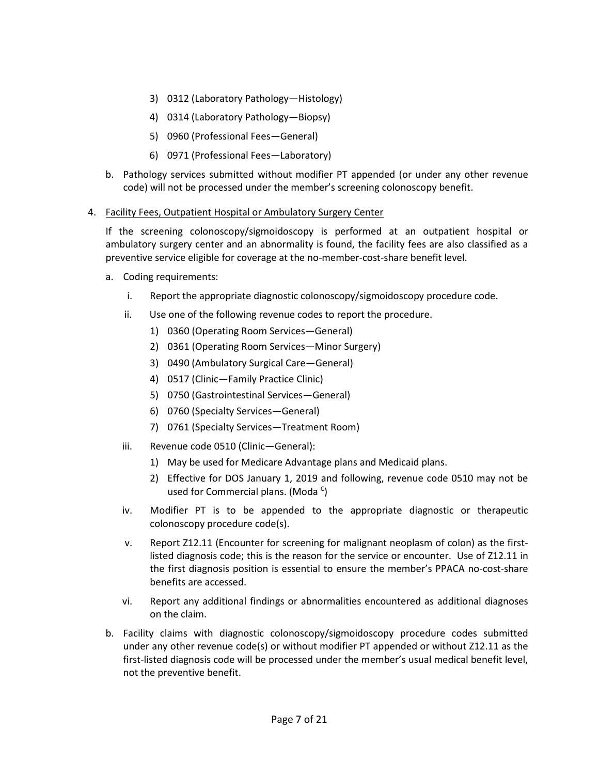- 3) 0312 (Laboratory Pathology—Histology)
- 4) 0314 (Laboratory Pathology—Biopsy)
- 5) 0960 (Professional Fees—General)
- 6) 0971 (Professional Fees—Laboratory)
- b. Pathology services submitted without modifier PT appended (or under any other revenue code) will not be processed under the member's screening colonoscopy benefit.

# 4. Facility Fees, Outpatient Hospital or Ambulatory Surgery Center

If the screening colonoscopy/sigmoidoscopy is performed at an outpatient hospital or ambulatory surgery center and an abnormality is found, the facility fees are also classified as a preventive service eligible for coverage at the no-member-cost-share benefit level.

- a. Coding requirements:
	- i. Report the appropriate diagnostic colonoscopy/sigmoidoscopy procedure code.
	- ii. Use one of the following revenue codes to report the procedure.
		- 1) 0360 (Operating Room Services—General)
		- 2) 0361 (Operating Room Services—Minor Surgery)
		- 3) 0490 (Ambulatory Surgical Care—General)
		- 4) 0517 (Clinic—Family Practice Clinic)
		- 5) 0750 (Gastrointestinal Services—General)
		- 6) 0760 (Specialty Services—General)
		- 7) 0761 (Specialty Services—Treatment Room)
	- iii. Revenue code 0510 (Clinic—General):
		- 1) May be used for Medicare Advantage plans and Medicaid plans.
		- 2) Effective for DOS January 1, 2019 and following, revenue code 0510 may not be used for Commercial plans. (Moda<sup>c</sup>)
	- iv. Modifier PT is to be appended to the appropriate diagnostic or therapeutic colonoscopy procedure code(s).
	- v. Report Z12.11 (Encounter for screening for malignant neoplasm of colon) as the firstlisted diagnosis code; this is the reason for the service or encounter. Use of Z12.11 in the first diagnosis position is essential to ensure the member's PPACA no-cost-share benefits are accessed.
	- vi. Report any additional findings or abnormalities encountered as additional diagnoses on the claim.
- b. Facility claims with diagnostic colonoscopy/sigmoidoscopy procedure codes submitted under any other revenue code(s) or without modifier PT appended or without Z12.11 as the first-listed diagnosis code will be processed under the member's usual medical benefit level, not the preventive benefit.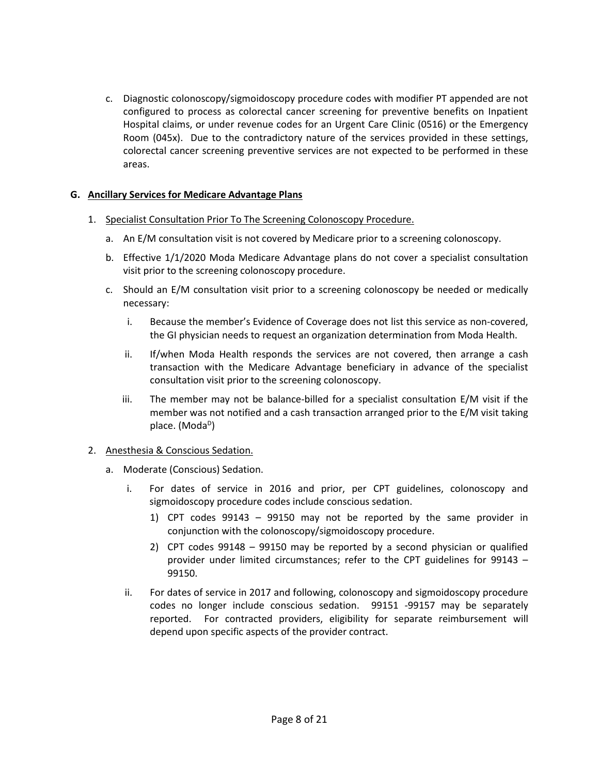c. Diagnostic colonoscopy/sigmoidoscopy procedure codes with modifier PT appended are not configured to process as colorectal cancer screening for preventive benefits on Inpatient Hospital claims, or under revenue codes for an Urgent Care Clinic (0516) or the Emergency Room (045x). Due to the contradictory nature of the services provided in these settings, colorectal cancer screening preventive services are not expected to be performed in these areas.

## **G. Ancillary Services for Medicare Advantage Plans**

- 1. Specialist Consultation Prior To The Screening Colonoscopy Procedure.
	- a. An E/M consultation visit is not covered by Medicare prior to a screening colonoscopy.
	- b. Effective 1/1/2020 Moda Medicare Advantage plans do not cover a specialist consultation visit prior to the screening colonoscopy procedure.
	- c. Should an E/M consultation visit prior to a screening colonoscopy be needed or medically necessary:
		- i. Because the member's Evidence of Coverage does not list this service as non-covered, the GI physician needs to request an organization determination from Moda Health.
		- ii. If/when Moda Health responds the services are not covered, then arrange a cash transaction with the Medicare Advantage beneficiary in advance of the specialist consultation visit prior to the screening colonoscopy.
		- iii. The member may not be balance-billed for a specialist consultation E/M visit if the member was not notified and a cash transaction arranged prior to the E/M visit taking place. (Moda<sup>D</sup>)

#### 2. Anesthesia & Conscious Sedation.

- a. Moderate (Conscious) Sedation.
	- i. For dates of service in 2016 and prior, per CPT guidelines, colonoscopy and sigmoidoscopy procedure codes include conscious sedation.
		- 1) CPT codes 99143 99150 may not be reported by the same provider in conjunction with the colonoscopy/sigmoidoscopy procedure.
		- 2) CPT codes 99148 99150 may be reported by a second physician or qualified provider under limited circumstances; refer to the CPT guidelines for 99143 – 99150.
	- ii. For dates of service in 2017 and following, colonoscopy and sigmoidoscopy procedure codes no longer include conscious sedation. 99151 -99157 may be separately reported. For contracted providers, eligibility for separate reimbursement will depend upon specific aspects of the provider contract.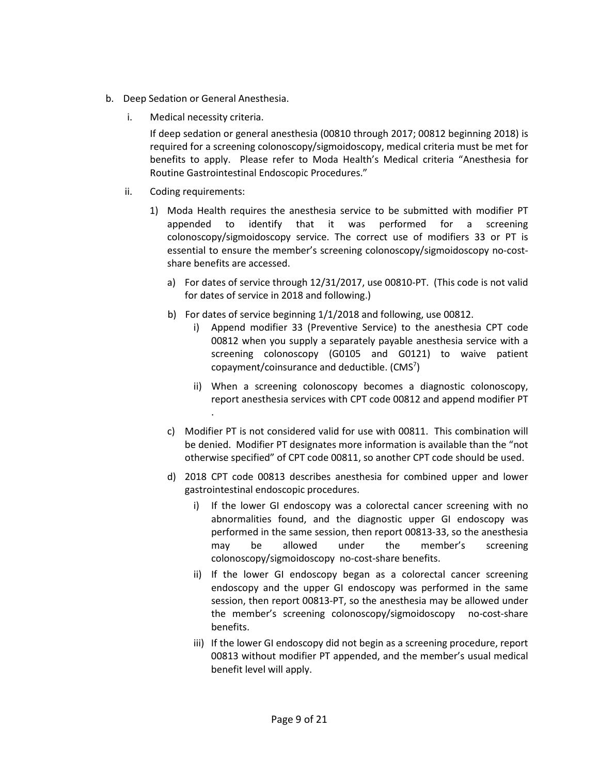- b. Deep Sedation or General Anesthesia.
	- i. Medical necessity criteria.

If deep sedation or general anesthesia (00810 through 2017; 00812 beginning 2018) is required for a screening colonoscopy/sigmoidoscopy, medical criteria must be met for benefits to apply. Please refer to Moda Health's Medical criteria "Anesthesia for Routine Gastrointestinal Endoscopic Procedures."

- ii. Coding requirements:
	- 1) Moda Health requires the anesthesia service to be submitted with modifier PT appended to identify that it was performed for a screening colonoscopy/sigmoidoscopy service. The correct use of modifiers 33 or PT is essential to ensure the member's screening colonoscopy/sigmoidoscopy no-costshare benefits are accessed.
		- a) For dates of service through 12/31/2017, use 00810-PT. (This code is not valid for dates of service in 2018 and following.)
		- b) For dates of service beginning 1/1/2018 and following, use 00812.
			- i) Append modifier 33 (Preventive Service) to the anesthesia CPT code 00812 when you supply a separately payable anesthesia service with a screening colonoscopy (G0105 and G0121) to waive patient copayment/coinsurance and deductible. (CMS<sup>7</sup>)
			- ii) When a screening colonoscopy becomes a diagnostic colonoscopy, report anesthesia services with CPT code 00812 and append modifier PT .
		- c) Modifier PT is not considered valid for use with 00811. This combination will be denied. Modifier PT designates more information is available than the "not otherwise specified" of CPT code 00811, so another CPT code should be used.
		- d) 2018 CPT code 00813 describes anesthesia for combined upper and lower gastrointestinal endoscopic procedures.
			- i) If the lower GI endoscopy was a colorectal cancer screening with no abnormalities found, and the diagnostic upper GI endoscopy was performed in the same session, then report 00813-33, so the anesthesia may be allowed under the member's screening colonoscopy/sigmoidoscopy no-cost-share benefits.
			- ii) If the lower GI endoscopy began as a colorectal cancer screening endoscopy and the upper GI endoscopy was performed in the same session, then report 00813-PT, so the anesthesia may be allowed under the member's screening colonoscopy/sigmoidoscopy no-cost-share benefits.
			- iii) If the lower GI endoscopy did not begin as a screening procedure, report 00813 without modifier PT appended, and the member's usual medical benefit level will apply.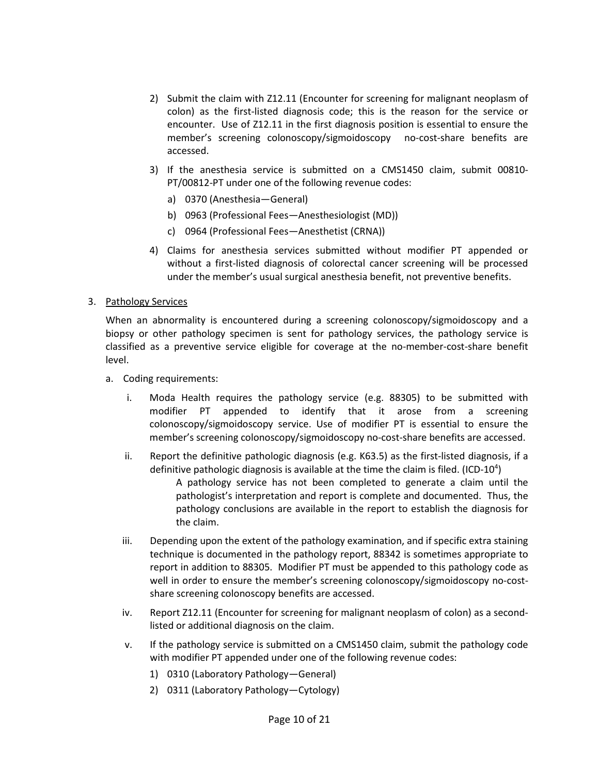- 2) Submit the claim with Z12.11 (Encounter for screening for malignant neoplasm of colon) as the first-listed diagnosis code; this is the reason for the service or encounter. Use of Z12.11 in the first diagnosis position is essential to ensure the member's screening colonoscopy/sigmoidoscopy no-cost-share benefits are accessed.
- 3) If the anesthesia service is submitted on a CMS1450 claim, submit 00810- PT/00812-PT under one of the following revenue codes:
	- a) 0370 (Anesthesia—General)
	- b) 0963 (Professional Fees—Anesthesiologist (MD))
	- c) 0964 (Professional Fees—Anesthetist (CRNA))
- 4) Claims for anesthesia services submitted without modifier PT appended or without a first-listed diagnosis of colorectal cancer screening will be processed under the member's usual surgical anesthesia benefit, not preventive benefits.

#### 3. Pathology Services

When an abnormality is encountered during a screening colonoscopy/sigmoidoscopy and a biopsy or other pathology specimen is sent for pathology services, the pathology service is classified as a preventive service eligible for coverage at the no-member-cost-share benefit level.

- a. Coding requirements:
	- i. Moda Health requires the pathology service (e.g. 88305) to be submitted with modifier PT appended to identify that it arose from a screening colonoscopy/sigmoidoscopy service. Use of modifier PT is essential to ensure the member's screening colonoscopy/sigmoidoscopy no-cost-share benefits are accessed.
	- ii. Report the definitive pathologic diagnosis (e.g. K63.5) as the first-listed diagnosis, if a definitive pathologic diagnosis is available at the time the claim is filed. (ICD-10 $4$ )

A pathology service has not been completed to generate a claim until the pathologist's interpretation and report is complete and documented. Thus, the pathology conclusions are available in the report to establish the diagnosis for the claim.

- iii. Depending upon the extent of the pathology examination, and if specific extra staining technique is documented in the pathology report, 88342 is sometimes appropriate to report in addition to 88305. Modifier PT must be appended to this pathology code as well in order to ensure the member's screening colonoscopy/sigmoidoscopy no-costshare screening colonoscopy benefits are accessed.
- iv. Report Z12.11 (Encounter for screening for malignant neoplasm of colon) as a secondlisted or additional diagnosis on the claim.
- v. If the pathology service is submitted on a CMS1450 claim, submit the pathology code with modifier PT appended under one of the following revenue codes:
	- 1) 0310 (Laboratory Pathology—General)
	- 2) 0311 (Laboratory Pathology—Cytology)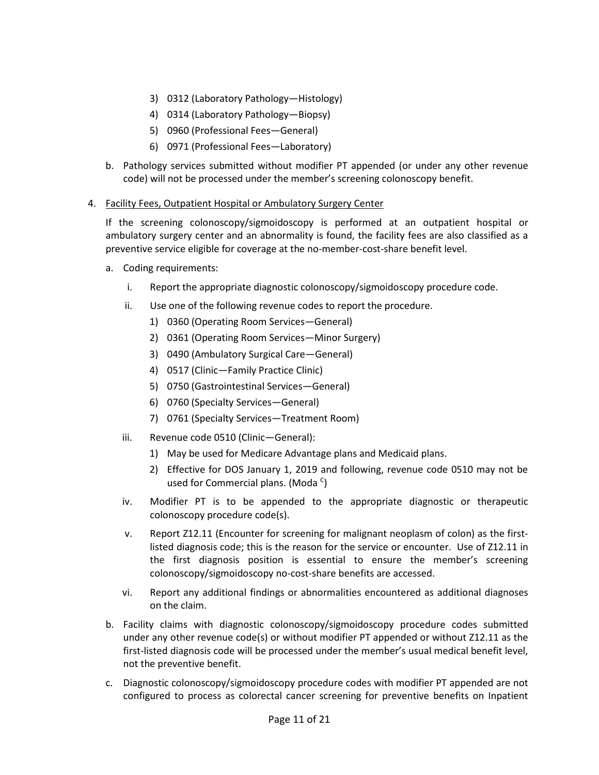- 3) 0312 (Laboratory Pathology—Histology)
- 4) 0314 (Laboratory Pathology—Biopsy)
- 5) 0960 (Professional Fees—General)
- 6) 0971 (Professional Fees—Laboratory)
- b. Pathology services submitted without modifier PT appended (or under any other revenue code) will not be processed under the member's screening colonoscopy benefit.

## 4. Facility Fees, Outpatient Hospital or Ambulatory Surgery Center

If the screening colonoscopy/sigmoidoscopy is performed at an outpatient hospital or ambulatory surgery center and an abnormality is found, the facility fees are also classified as a preventive service eligible for coverage at the no-member-cost-share benefit level.

- a. Coding requirements:
	- i. Report the appropriate diagnostic colonoscopy/sigmoidoscopy procedure code.
	- ii. Use one of the following revenue codes to report the procedure.
		- 1) 0360 (Operating Room Services—General)
		- 2) 0361 (Operating Room Services—Minor Surgery)
		- 3) 0490 (Ambulatory Surgical Care—General)
		- 4) 0517 (Clinic—Family Practice Clinic)
		- 5) 0750 (Gastrointestinal Services—General)
		- 6) 0760 (Specialty Services—General)
		- 7) 0761 (Specialty Services—Treatment Room)
	- iii. Revenue code 0510 (Clinic—General):
		- 1) May be used for Medicare Advantage plans and Medicaid plans.
		- 2) Effective for DOS January 1, 2019 and following, revenue code 0510 may not be used for Commercial plans. (Moda <sup>c</sup>)
	- iv. Modifier PT is to be appended to the appropriate diagnostic or therapeutic colonoscopy procedure code(s).
	- v. Report Z12.11 (Encounter for screening for malignant neoplasm of colon) as the firstlisted diagnosis code; this is the reason for the service or encounter. Use of Z12.11 in the first diagnosis position is essential to ensure the member's screening colonoscopy/sigmoidoscopy no-cost-share benefits are accessed.
	- vi. Report any additional findings or abnormalities encountered as additional diagnoses on the claim.
- b. Facility claims with diagnostic colonoscopy/sigmoidoscopy procedure codes submitted under any other revenue code(s) or without modifier PT appended or without Z12.11 as the first-listed diagnosis code will be processed under the member's usual medical benefit level, not the preventive benefit.
- c. Diagnostic colonoscopy/sigmoidoscopy procedure codes with modifier PT appended are not configured to process as colorectal cancer screening for preventive benefits on Inpatient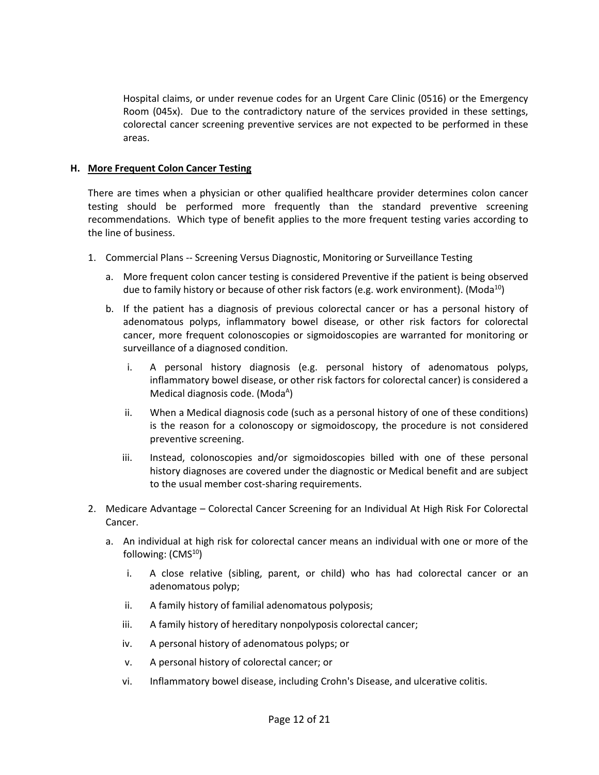Hospital claims, or under revenue codes for an Urgent Care Clinic (0516) or the Emergency Room (045x). Due to the contradictory nature of the services provided in these settings, colorectal cancer screening preventive services are not expected to be performed in these areas.

## **H. More Frequent Colon Cancer Testing**

There are times when a physician or other qualified healthcare provider determines colon cancer testing should be performed more frequently than the standard preventive screening recommendations. Which type of benefit applies to the more frequent testing varies according to the line of business.

- 1. Commercial Plans -- Screening Versus Diagnostic, Monitoring or Surveillance Testing
	- a. More frequent colon cancer testing is considered Preventive if the patient is being observed due to family history or because of other risk factors (e.g. work environment). (Moda<sup>10</sup>)
	- b. If the patient has a diagnosis of previous colorectal cancer or has a personal history of adenomatous polyps, inflammatory bowel disease, or other risk factors for colorectal cancer, more frequent colonoscopies or sigmoidoscopies are warranted for monitoring or surveillance of a diagnosed condition.
		- i. A personal history diagnosis (e.g. personal history of adenomatous polyps, inflammatory bowel disease, or other risk factors for colorectal cancer) is considered a Medical diagnosis code. (Moda $<sup>A</sup>$ )</sup>
		- ii. When a Medical diagnosis code (such as a personal history of one of these conditions) is the reason for a colonoscopy or sigmoidoscopy, the procedure is not considered preventive screening.
		- iii. Instead, colonoscopies and/or sigmoidoscopies billed with one of these personal history diagnoses are covered under the diagnostic or Medical benefit and are subject to the usual member cost-sharing requirements.
- 2. Medicare Advantage Colorectal Cancer Screening for an Individual At High Risk For Colorectal Cancer.
	- a. An individual at high risk for colorectal cancer means an individual with one or more of the following:  $(CMS<sup>10</sup>)$ 
		- i. A close relative (sibling, parent, or child) who has had colorectal cancer or an adenomatous polyp;
		- ii. A family history of familial adenomatous polyposis;
		- iii. A family history of hereditary nonpolyposis colorectal cancer;
		- iv. A personal history of adenomatous polyps; or
		- v. A personal history of colorectal cancer; or
		- vi. Inflammatory bowel disease, including Crohn's Disease, and ulcerative colitis.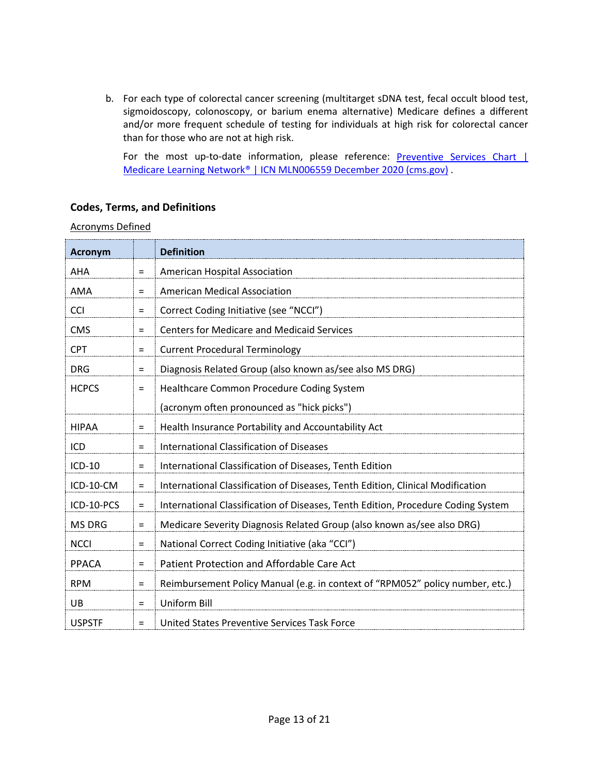b. For each type of colorectal cancer screening (multitarget sDNA test, fecal occult blood test, sigmoidoscopy, colonoscopy, or barium enema alternative) Medicare defines a different and/or more frequent schedule of testing for individuals at high risk for colorectal cancer than for those who are not at high risk.

For the most up-to-date information, please reference: Preventive Services Chart | [Medicare Learning Network® | ICN MLN006559 December 2020 \(cms.gov\)](https://www.cms.gov/Medicare/Prevention/PrevntionGenInfo/medicare-preventive-services/MPS-QuickReferenceChart-1.html#COLO_CAN) .

# **Codes, Terms, and Definitions**

Acronyms Defined

| <b>Acronym</b> |          | <b>Definition</b>                                                                |
|----------------|----------|----------------------------------------------------------------------------------|
| AHA            | $=$      | American Hospital Association                                                    |
| AMA            | $=$      | <b>American Medical Association</b>                                              |
| <b>CCI</b>     | $\equiv$ | Correct Coding Initiative (see "NCCI")                                           |
| <b>CMS</b>     | $=$      | <b>Centers for Medicare and Medicaid Services</b>                                |
| <b>CPT</b>     | $\equiv$ | <b>Current Procedural Terminology</b>                                            |
| <b>DRG</b>     | $=$      | Diagnosis Related Group (also known as/see also MS DRG)                          |
| <b>HCPCS</b>   | $\equiv$ | Healthcare Common Procedure Coding System                                        |
|                |          | (acronym often pronounced as "hick picks")                                       |
| <b>HIPAA</b>   | $=$      | Health Insurance Portability and Accountability Act                              |
| ICD            | $\equiv$ | <b>International Classification of Diseases</b>                                  |
| ICD-10         | $=$      | International Classification of Diseases, Tenth Edition                          |
| ICD-10-CM      | $\equiv$ | International Classification of Diseases, Tenth Edition, Clinical Modification   |
| ICD-10-PCS     | $\equiv$ | International Classification of Diseases, Tenth Edition, Procedure Coding System |
| <b>MS DRG</b>  | $=$      | Medicare Severity Diagnosis Related Group (also known as/see also DRG)           |
| <b>NCCI</b>    | $=$      | National Correct Coding Initiative (aka "CCI")                                   |
| <b>PPACA</b>   | $=$      | Patient Protection and Affordable Care Act                                       |
| <b>RPM</b>     | $=$      | Reimbursement Policy Manual (e.g. in context of "RPM052" policy number, etc.)    |
| UB             | $=$      | <b>Uniform Bill</b>                                                              |
| <b>USPSTF</b>  | $=$      | United States Preventive Services Task Force                                     |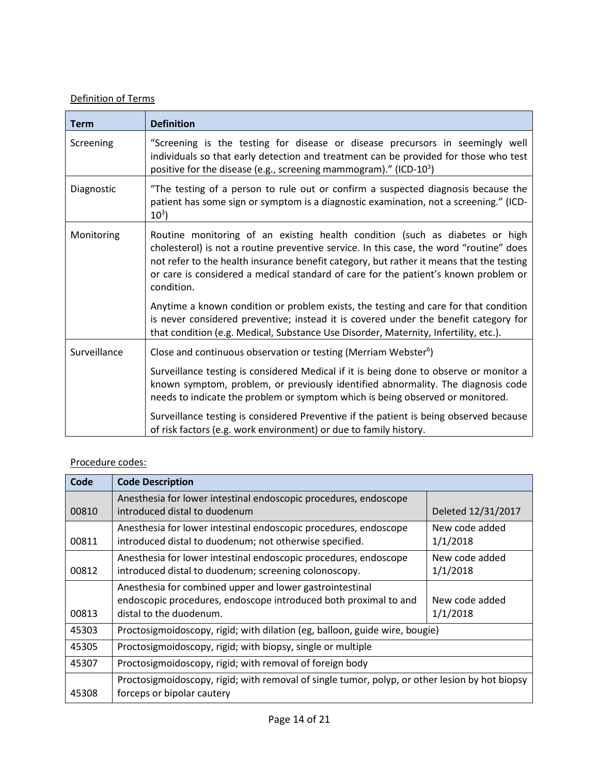# Definition of Terms

| <b>Term</b>  | <b>Definition</b>                                                                                                                                                                                                                                                                                                                                                        |
|--------------|--------------------------------------------------------------------------------------------------------------------------------------------------------------------------------------------------------------------------------------------------------------------------------------------------------------------------------------------------------------------------|
| Screening    | "Screening is the testing for disease or disease precursors in seemingly well<br>individuals so that early detection and treatment can be provided for those who test<br>positive for the disease (e.g., screening mammogram)." (ICD-10 <sup>3</sup> )                                                                                                                   |
| Diagnostic   | "The testing of a person to rule out or confirm a suspected diagnosis because the<br>patient has some sign or symptom is a diagnostic examination, not a screening." (ICD-<br>$10^3$ )                                                                                                                                                                                   |
| Monitoring   | Routine monitoring of an existing health condition (such as diabetes or high<br>cholesterol) is not a routine preventive service. In this case, the word "routine" does<br>not refer to the health insurance benefit category, but rather it means that the testing<br>or care is considered a medical standard of care for the patient's known problem or<br>condition. |
|              | Anytime a known condition or problem exists, the testing and care for that condition<br>is never considered preventive; instead it is covered under the benefit category for<br>that condition (e.g. Medical, Substance Use Disorder, Maternity, Infertility, etc.).                                                                                                     |
| Surveillance | Close and continuous observation or testing (Merriam Webster <sup>6</sup> )                                                                                                                                                                                                                                                                                              |
|              | Surveillance testing is considered Medical if it is being done to observe or monitor a<br>known symptom, problem, or previously identified abnormality. The diagnosis code<br>needs to indicate the problem or symptom which is being observed or monitored.                                                                                                             |
|              | Surveillance testing is considered Preventive if the patient is being observed because<br>of risk factors (e.g. work environment) or due to family history.                                                                                                                                                                                                              |

# Procedure codes:

| Code  | <b>Code Description</b>                                                                           |                    |
|-------|---------------------------------------------------------------------------------------------------|--------------------|
| 00810 | Anesthesia for lower intestinal endoscopic procedures, endoscope<br>introduced distal to duodenum | Deleted 12/31/2017 |
|       |                                                                                                   |                    |
|       | Anesthesia for lower intestinal endoscopic procedures, endoscope                                  | New code added     |
| 00811 | introduced distal to duodenum; not otherwise specified.                                           | 1/1/2018           |
|       | Anesthesia for lower intestinal endoscopic procedures, endoscope                                  | New code added     |
| 00812 | introduced distal to duodenum; screening colonoscopy.                                             | 1/1/2018           |
|       | Anesthesia for combined upper and lower gastrointestinal                                          |                    |
|       | endoscopic procedures, endoscope introduced both proximal to and                                  | New code added     |
| 00813 | distal to the duodenum.                                                                           | 1/1/2018           |
| 45303 | Proctosigmoidoscopy, rigid; with dilation (eg, balloon, guide wire, bougie)                       |                    |
| 45305 | Proctosigmoidoscopy, rigid; with biopsy, single or multiple                                       |                    |
| 45307 | Proctosigmoidoscopy, rigid; with removal of foreign body                                          |                    |
|       | Proctosigmoidoscopy, rigid; with removal of single tumor, polyp, or other lesion by hot biopsy    |                    |
| 45308 | forceps or bipolar cautery                                                                        |                    |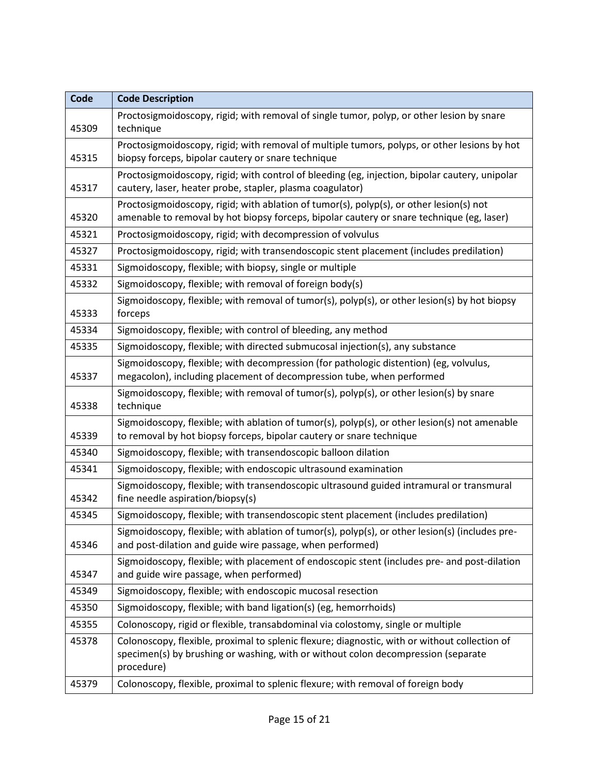| Code  | <b>Code Description</b>                                                                                                                                                                          |
|-------|--------------------------------------------------------------------------------------------------------------------------------------------------------------------------------------------------|
| 45309 | Proctosigmoidoscopy, rigid; with removal of single tumor, polyp, or other lesion by snare<br>technique                                                                                           |
| 45315 | Proctosigmoidoscopy, rigid; with removal of multiple tumors, polyps, or other lesions by hot<br>biopsy forceps, bipolar cautery or snare technique                                               |
| 45317 | Proctosigmoidoscopy, rigid; with control of bleeding (eg, injection, bipolar cautery, unipolar<br>cautery, laser, heater probe, stapler, plasma coagulator)                                      |
| 45320 | Proctosigmoidoscopy, rigid; with ablation of tumor(s), polyp(s), or other lesion(s) not<br>amenable to removal by hot biopsy forceps, bipolar cautery or snare technique (eg, laser)             |
| 45321 | Proctosigmoidoscopy, rigid; with decompression of volvulus                                                                                                                                       |
| 45327 | Proctosigmoidoscopy, rigid; with transendoscopic stent placement (includes predilation)                                                                                                          |
| 45331 | Sigmoidoscopy, flexible; with biopsy, single or multiple                                                                                                                                         |
| 45332 | Sigmoidoscopy, flexible; with removal of foreign body(s)                                                                                                                                         |
| 45333 | Sigmoidoscopy, flexible; with removal of tumor(s), polyp(s), or other lesion(s) by hot biopsy<br>forceps                                                                                         |
| 45334 | Sigmoidoscopy, flexible; with control of bleeding, any method                                                                                                                                    |
| 45335 | Sigmoidoscopy, flexible; with directed submucosal injection(s), any substance                                                                                                                    |
| 45337 | Sigmoidoscopy, flexible; with decompression (for pathologic distention) (eg, volvulus,<br>megacolon), including placement of decompression tube, when performed                                  |
| 45338 | Sigmoidoscopy, flexible; with removal of tumor(s), polyp(s), or other lesion(s) by snare<br>technique                                                                                            |
| 45339 | Sigmoidoscopy, flexible; with ablation of tumor(s), polyp(s), or other lesion(s) not amenable<br>to removal by hot biopsy forceps, bipolar cautery or snare technique                            |
| 45340 | Sigmoidoscopy, flexible; with transendoscopic balloon dilation                                                                                                                                   |
| 45341 | Sigmoidoscopy, flexible; with endoscopic ultrasound examination                                                                                                                                  |
| 45342 | Sigmoidoscopy, flexible; with transendoscopic ultrasound guided intramural or transmural<br>fine needle aspiration/biopsy(s)                                                                     |
| 45345 | Sigmoidoscopy, flexible; with transendoscopic stent placement (includes predilation)                                                                                                             |
| 45346 | Sigmoidoscopy, flexible; with ablation of tumor(s), polyp(s), or other lesion(s) (includes pre-<br>and post-dilation and guide wire passage, when performed)                                     |
| 45347 | Sigmoidoscopy, flexible; with placement of endoscopic stent (includes pre- and post-dilation<br>and guide wire passage, when performed)                                                          |
| 45349 | Sigmoidoscopy, flexible; with endoscopic mucosal resection                                                                                                                                       |
| 45350 | Sigmoidoscopy, flexible; with band ligation(s) (eg, hemorrhoids)                                                                                                                                 |
| 45355 | Colonoscopy, rigid or flexible, transabdominal via colostomy, single or multiple                                                                                                                 |
| 45378 | Colonoscopy, flexible, proximal to splenic flexure; diagnostic, with or without collection of<br>specimen(s) by brushing or washing, with or without colon decompression (separate<br>procedure) |
| 45379 | Colonoscopy, flexible, proximal to splenic flexure; with removal of foreign body                                                                                                                 |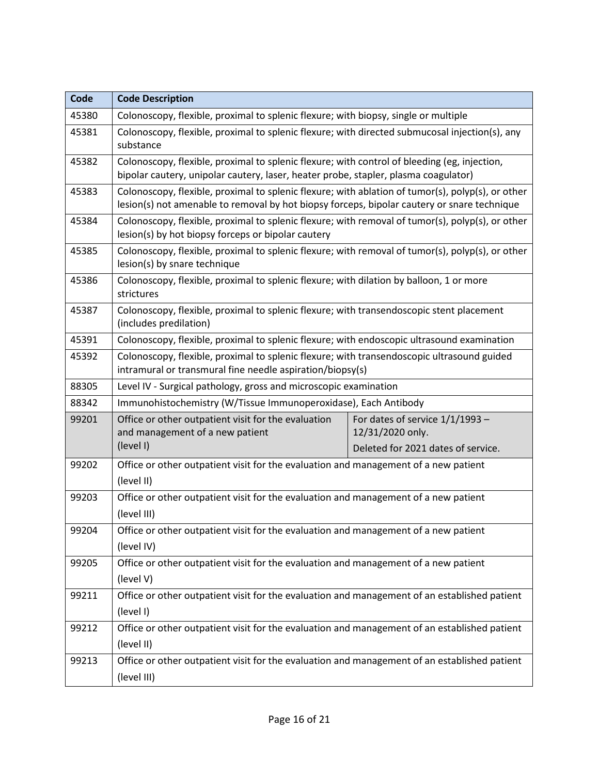| Code  | <b>Code Description</b>                                                                                                                                                                          |                                                       |
|-------|--------------------------------------------------------------------------------------------------------------------------------------------------------------------------------------------------|-------------------------------------------------------|
| 45380 | Colonoscopy, flexible, proximal to splenic flexure; with biopsy, single or multiple                                                                                                              |                                                       |
| 45381 | Colonoscopy, flexible, proximal to splenic flexure; with directed submucosal injection(s), any<br>substance                                                                                      |                                                       |
| 45382 | Colonoscopy, flexible, proximal to splenic flexure; with control of bleeding (eg, injection,<br>bipolar cautery, unipolar cautery, laser, heater probe, stapler, plasma coagulator)              |                                                       |
| 45383 | Colonoscopy, flexible, proximal to splenic flexure; with ablation of tumor(s), polyp(s), or other<br>lesion(s) not amenable to removal by hot biopsy forceps, bipolar cautery or snare technique |                                                       |
| 45384 | Colonoscopy, flexible, proximal to splenic flexure; with removal of tumor(s), polyp(s), or other<br>lesion(s) by hot biopsy forceps or bipolar cautery                                           |                                                       |
| 45385 | Colonoscopy, flexible, proximal to splenic flexure; with removal of tumor(s), polyp(s), or other<br>lesion(s) by snare technique                                                                 |                                                       |
| 45386 | Colonoscopy, flexible, proximal to splenic flexure; with dilation by balloon, 1 or more<br>strictures                                                                                            |                                                       |
| 45387 | Colonoscopy, flexible, proximal to splenic flexure; with transendoscopic stent placement<br>(includes predilation)                                                                               |                                                       |
| 45391 | Colonoscopy, flexible, proximal to splenic flexure; with endoscopic ultrasound examination                                                                                                       |                                                       |
| 45392 | Colonoscopy, flexible, proximal to splenic flexure; with transendoscopic ultrasound guided<br>intramural or transmural fine needle aspiration/biopsy(s)                                          |                                                       |
| 88305 | Level IV - Surgical pathology, gross and microscopic examination                                                                                                                                 |                                                       |
| 88342 | Immunohistochemistry (W/Tissue Immunoperoxidase), Each Antibody                                                                                                                                  |                                                       |
| 99201 | Office or other outpatient visit for the evaluation<br>and management of a new patient                                                                                                           | For dates of service $1/1/1993$ -<br>12/31/2020 only. |
|       | (level I)                                                                                                                                                                                        | Deleted for 2021 dates of service.                    |
| 99202 | Office or other outpatient visit for the evaluation and management of a new patient<br>(level II)                                                                                                |                                                       |
| 99203 | Office or other outpatient visit for the evaluation and management of a new patient<br>(level III)                                                                                               |                                                       |
| 99204 | Office or other outpatient visit for the evaluation and management of a new patient                                                                                                              |                                                       |
|       | (level IV)                                                                                                                                                                                       |                                                       |
| 99205 | Office or other outpatient visit for the evaluation and management of a new patient                                                                                                              |                                                       |
|       | (level V)                                                                                                                                                                                        |                                                       |
| 99211 | Office or other outpatient visit for the evaluation and management of an established patient<br>(level I)                                                                                        |                                                       |
| 99212 | Office or other outpatient visit for the evaluation and management of an established patient                                                                                                     |                                                       |
|       | (level II)                                                                                                                                                                                       |                                                       |
| 99213 | Office or other outpatient visit for the evaluation and management of an established patient                                                                                                     |                                                       |
|       | (level III)                                                                                                                                                                                      |                                                       |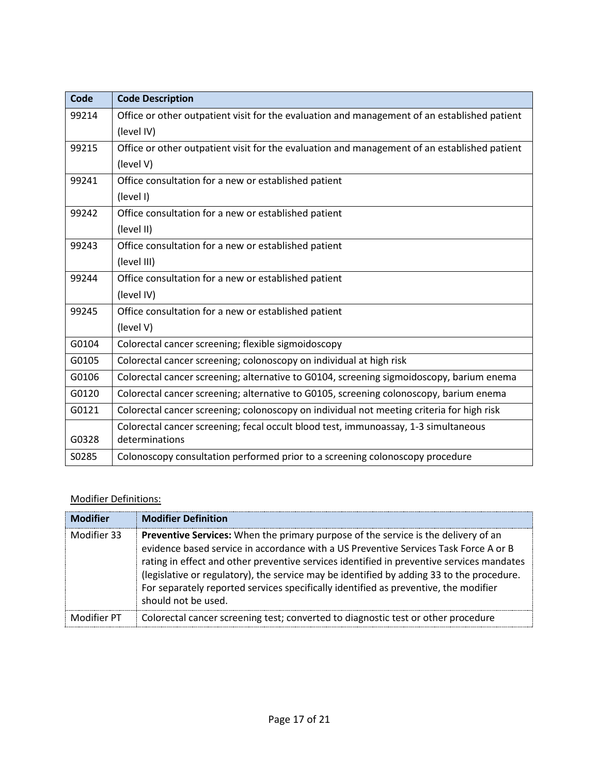| Code  | <b>Code Description</b>                                                                      |
|-------|----------------------------------------------------------------------------------------------|
| 99214 | Office or other outpatient visit for the evaluation and management of an established patient |
|       | (level IV)                                                                                   |
| 99215 | Office or other outpatient visit for the evaluation and management of an established patient |
|       | (level V)                                                                                    |
| 99241 | Office consultation for a new or established patient                                         |
|       | (level I)                                                                                    |
| 99242 | Office consultation for a new or established patient                                         |
|       | (level II)                                                                                   |
| 99243 | Office consultation for a new or established patient                                         |
|       | (level III)                                                                                  |
| 99244 | Office consultation for a new or established patient                                         |
|       | (level IV)                                                                                   |
| 99245 | Office consultation for a new or established patient                                         |
|       | (level V)                                                                                    |
| G0104 | Colorectal cancer screening; flexible sigmoidoscopy                                          |
| G0105 | Colorectal cancer screening; colonoscopy on individual at high risk                          |
| G0106 | Colorectal cancer screening; alternative to G0104, screening sigmoidoscopy, barium enema     |
| G0120 | Colorectal cancer screening; alternative to G0105, screening colonoscopy, barium enema       |
| G0121 | Colorectal cancer screening; colonoscopy on individual not meeting criteria for high risk    |
|       | Colorectal cancer screening; fecal occult blood test, immunoassay, 1-3 simultaneous          |
| G0328 | determinations                                                                               |
| S0285 | Colonoscopy consultation performed prior to a screening colonoscopy procedure                |

# Modifier Definitions:

| <b>Modifier</b> | <b>Modifier Definition</b>                                                                                                                                                                                                                                                                                                                                                                                                                                                          |
|-----------------|-------------------------------------------------------------------------------------------------------------------------------------------------------------------------------------------------------------------------------------------------------------------------------------------------------------------------------------------------------------------------------------------------------------------------------------------------------------------------------------|
| Modifier 33     | Preventive Services: When the primary purpose of the service is the delivery of an<br>evidence based service in accordance with a US Preventive Services Task Force A or B<br>rating in effect and other preventive services identified in preventive services mandates<br>(legislative or regulatory), the service may be identified by adding 33 to the procedure.<br>For separately reported services specifically identified as preventive, the modifier<br>should not be used. |
| Modifier PT     | Colorectal cancer screening test; converted to diagnostic test or other procedure                                                                                                                                                                                                                                                                                                                                                                                                   |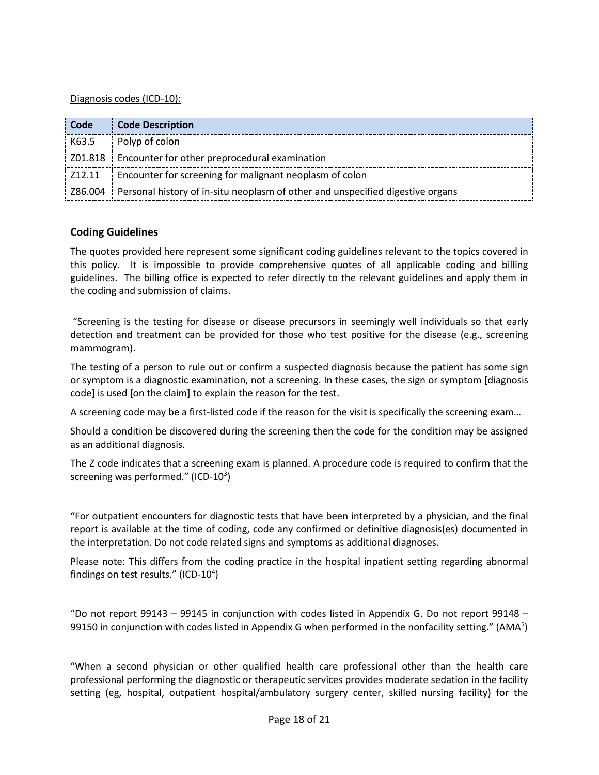### Diagnosis codes (ICD-10):

| Code    | <b>Code Description</b>                                                                |
|---------|----------------------------------------------------------------------------------------|
| K63.5   | Polyp of colon                                                                         |
| Z01.818 | Encounter for other preprocedural examination                                          |
| 712.11  | Encounter for screening for malignant neoplasm of colon                                |
|         | Z86.004 Personal history of in-situ neoplasm of other and unspecified digestive organs |

# **Coding Guidelines**

The quotes provided here represent some significant coding guidelines relevant to the topics covered in this policy. It is impossible to provide comprehensive quotes of all applicable coding and billing guidelines. The billing office is expected to refer directly to the relevant guidelines and apply them in the coding and submission of claims.

"Screening is the testing for disease or disease precursors in seemingly well individuals so that early detection and treatment can be provided for those who test positive for the disease (e.g., screening mammogram).

The testing of a person to rule out or confirm a suspected diagnosis because the patient has some sign or symptom is a diagnostic examination, not a screening. In these cases, the sign or symptom [diagnosis code] is used [on the claim] to explain the reason for the test.

A screening code may be a first-listed code if the reason for the visit is specifically the screening exam…

Should a condition be discovered during the screening then the code for the condition may be assigned as an additional diagnosis.

The Z code indicates that a screening exam is planned. A procedure code is required to confirm that the screening was performed." (ICD-10<sup>3</sup>)

"For outpatient encounters for diagnostic tests that have been interpreted by a physician, and the final report is available at the time of coding, code any confirmed or definitive diagnosis(es) documented in the interpretation. Do not code related signs and symptoms as additional diagnoses.

Please note: This differs from the coding practice in the hospital inpatient setting regarding abnormal findings on test results." (ICD-10<sup>4</sup>)

"Do not report 99143 – 99145 in conjunction with codes listed in Appendix G. Do not report 99148 – 99150 in conjunction with codes listed in Appendix G when performed in the nonfacility setting." (AMA<sup>5</sup>)

"When a second physician or other qualified health care professional other than the health care professional performing the diagnostic or therapeutic services provides moderate sedation in the facility setting (eg, hospital, outpatient hospital/ambulatory surgery center, skilled nursing facility) for the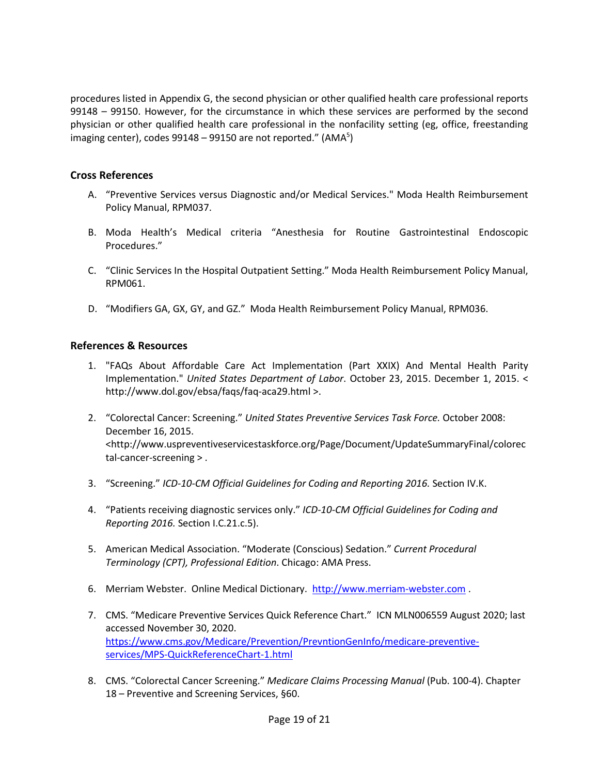procedures listed in Appendix G, the second physician or other qualified health care professional reports 99148 – 99150. However, for the circumstance in which these services are performed by the second physician or other qualified health care professional in the nonfacility setting (eg, office, freestanding imaging center), codes 99148 – 99150 are not reported." (AMA<sup>5</sup>)

# **Cross References**

- A. "Preventive Services versus Diagnostic and/or Medical Services." Moda Health Reimbursement Policy Manual, RPM037.
- B. Moda Health's Medical criteria "Anesthesia for Routine Gastrointestinal Endoscopic Procedures."
- C. "Clinic Services In the Hospital Outpatient Setting." Moda Health Reimbursement Policy Manual, RPM061.
- D. "Modifiers GA, GX, GY, and GZ." Moda Health Reimbursement Policy Manual, RPM036.

# **References & Resources**

- 1. "FAQs About Affordable Care Act Implementation (Part XXIX) And Mental Health Parity Implementation." *United States Department of Labor*. October 23, 2015. December 1, 2015. < http://www.dol.gov/ebsa/faqs/faq-aca29.html >.
- 2. "Colorectal Cancer: Screening." *United States Preventive Services Task Force.* October 2008: December 16, 2015. <http://www.uspreventiveservicestaskforce.org/Page/Document/UpdateSummaryFinal/colorec tal-cancer-screening > .
- 3. "Screening." *ICD-10-CM Official Guidelines for Coding and Reporting 2016.* Section IV.K.
- 4. "Patients receiving diagnostic services only." *ICD-10-CM Official Guidelines for Coding and Reporting 2016.* Section I.C.21.c.5).
- 5. American Medical Association. "Moderate (Conscious) Sedation." *Current Procedural Terminology (CPT), Professional Edition*. Chicago: AMA Press.
- 6. Merriam Webster. Online Medical Dictionary. [http://www.merriam-webster.com](http://www.merriam-webster.com/) .
- 7. CMS. "Medicare Preventive Services Quick Reference Chart." ICN MLN006559 August 2020; last accessed November 30, 2020. [https://www.cms.gov/Medicare/Prevention/PrevntionGenInfo/medicare-preventive](https://www.cms.gov/Medicare/Prevention/PrevntionGenInfo/medicare-preventive-services/MPS-QuickReferenceChart-1.html)[services/MPS-QuickReferenceChart-1.html](https://www.cms.gov/Medicare/Prevention/PrevntionGenInfo/medicare-preventive-services/MPS-QuickReferenceChart-1.html)
- 8. CMS. "Colorectal Cancer Screening." *Medicare Claims Processing Manual* (Pub. 100-4). Chapter 18 – Preventive and Screening Services, §60.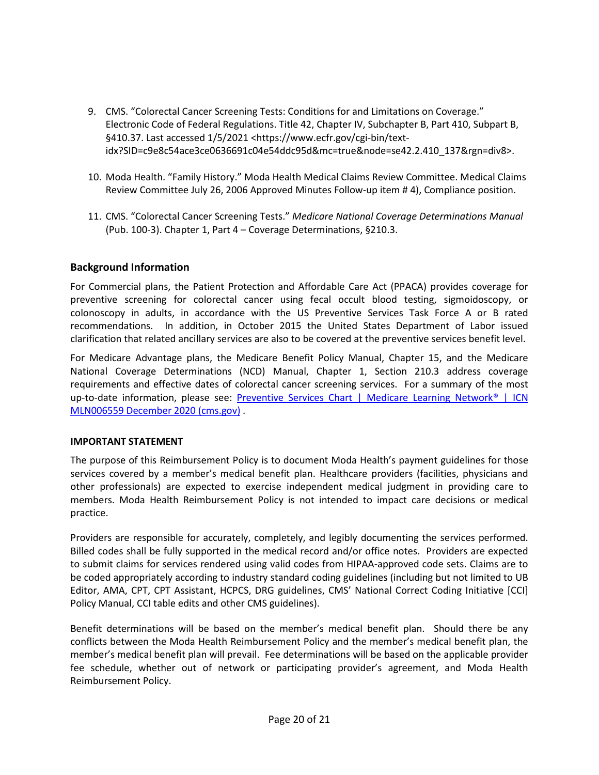- 9. CMS. "Colorectal Cancer Screening Tests: Conditions for and Limitations on Coverage." Electronic Code of Federal Regulations. Title 42, Chapter IV, Subchapter B, Part 410, Subpart B, §410.37. Last accessed 1/5/2021 <https://www.ecfr.gov/cgi-bin/textidx?SID=c9e8c54ace3ce0636691c04e54ddc95d&mc=true&node=se42.2.410\_137&rgn=div8>.
- 10. Moda Health. "Family History." Moda Health Medical Claims Review Committee. Medical Claims Review Committee July 26, 2006 Approved Minutes Follow-up item # 4), Compliance position.
- 11. CMS. "Colorectal Cancer Screening Tests." *Medicare National Coverage Determinations Manual* (Pub. 100-3). Chapter 1, Part 4 – Coverage Determinations, §210.3.

# **Background Information**

For Commercial plans, the Patient Protection and Affordable Care Act (PPACA) provides coverage for preventive screening for colorectal cancer using fecal occult blood testing, sigmoidoscopy, or colonoscopy in adults, in accordance with the US Preventive Services Task Force A or B rated recommendations. In addition, in October 2015 the United States Department of Labor issued clarification that related ancillary services are also to be covered at the preventive services benefit level.

For Medicare Advantage plans, the Medicare Benefit Policy Manual, Chapter 15, and the Medicare National Coverage Determinations (NCD) Manual, Chapter 1, Section 210.3 address coverage requirements and effective dates of colorectal cancer screening services. For a summary of the most up-to-date information, please see: [Preventive Services Chart | Medicare Learning Network® | ICN](https://www.cms.gov/Medicare/Prevention/PrevntionGenInfo/medicare-preventive-services/MPS-QuickReferenceChart-1.html#COLO_CAN)  [MLN006559 December 2020 \(cms.gov\)](https://www.cms.gov/Medicare/Prevention/PrevntionGenInfo/medicare-preventive-services/MPS-QuickReferenceChart-1.html#COLO_CAN) .

#### **IMPORTANT STATEMENT**

The purpose of this Reimbursement Policy is to document Moda Health's payment guidelines for those services covered by a member's medical benefit plan. Healthcare providers (facilities, physicians and other professionals) are expected to exercise independent medical judgment in providing care to members. Moda Health Reimbursement Policy is not intended to impact care decisions or medical practice.

Providers are responsible for accurately, completely, and legibly documenting the services performed. Billed codes shall be fully supported in the medical record and/or office notes. Providers are expected to submit claims for services rendered using valid codes from HIPAA-approved code sets. Claims are to be coded appropriately according to industry standard coding guidelines (including but not limited to UB Editor, AMA, CPT, CPT Assistant, HCPCS, DRG guidelines, CMS' National Correct Coding Initiative [CCI] Policy Manual, CCI table edits and other CMS guidelines).

Benefit determinations will be based on the member's medical benefit plan. Should there be any conflicts between the Moda Health Reimbursement Policy and the member's medical benefit plan, the member's medical benefit plan will prevail. Fee determinations will be based on the applicable provider fee schedule, whether out of network or participating provider's agreement, and Moda Health Reimbursement Policy.